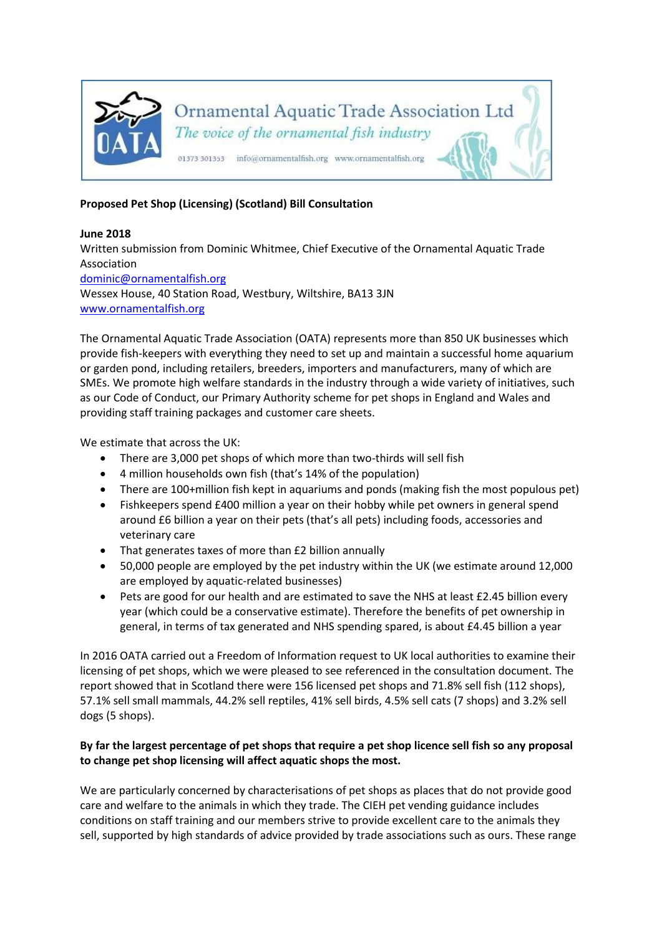

## **Proposed Pet Shop (Licensing) (Scotland) Bill Consultation**

## **June 2018**

Written submission from Dominic Whitmee, Chief Executive of the Ornamental Aquatic Trade Association [dominic@ornamentalfish.org](mailto:dominic@ornamentalfish.org) Wessex House, 40 Station Road, Westbury, Wiltshire, BA13 3JN [www.ornamentalfish.org](http://www.ornamentalfish.org/)

The Ornamental Aquatic Trade Association (OATA) represents more than 850 UK businesses which provide fish-keepers with everything they need to set up and maintain a successful home aquarium or garden pond, including retailers, breeders, importers and manufacturers, many of which are SMEs. We promote high welfare standards in the industry through a wide variety of initiatives, such as our Code of Conduct, our Primary Authority scheme for pet shops in England and Wales and providing staff training packages and customer care sheets.

We estimate that across the UK:

- There are 3,000 pet shops of which more than two-thirds will sell fish
- 4 million households own fish (that's 14% of the population)
- There are 100+million fish kept in aquariums and ponds (making fish the most populous pet)
- Fishkeepers spend £400 million a year on their hobby while pet owners in general spend around £6 billion a year on their pets (that's all pets) including foods, accessories and veterinary care
- That generates taxes of more than £2 billion annually
- 50,000 people are employed by the pet industry within the UK (we estimate around 12,000 are employed by aquatic-related businesses)
- Pets are good for our health and are estimated to save the NHS at least £2.45 billion every year (which could be a conservative estimate). Therefore the benefits of pet ownership in general, in terms of tax generated and NHS spending spared, is about £4.45 billion a year

In 2016 OATA carried out a Freedom of Information request to UK local authorities to examine their licensing of pet shops, which we were pleased to see referenced in the consultation document. The report showed that in Scotland there were 156 licensed pet shops and 71.8% sell fish (112 shops), 57.1% sell small mammals, 44.2% sell reptiles, 41% sell birds, 4.5% sell cats (7 shops) and 3.2% sell dogs (5 shops).

## **By far the largest percentage of pet shops that require a pet shop licence sell fish so any proposal to change pet shop licensing will affect aquatic shops the most.**

We are particularly concerned by characterisations of pet shops as places that do not provide good care and welfare to the animals in which they trade. The CIEH pet vending guidance includes conditions on staff training and our members strive to provide excellent care to the animals they sell, supported by high standards of advice provided by trade associations such as ours. These range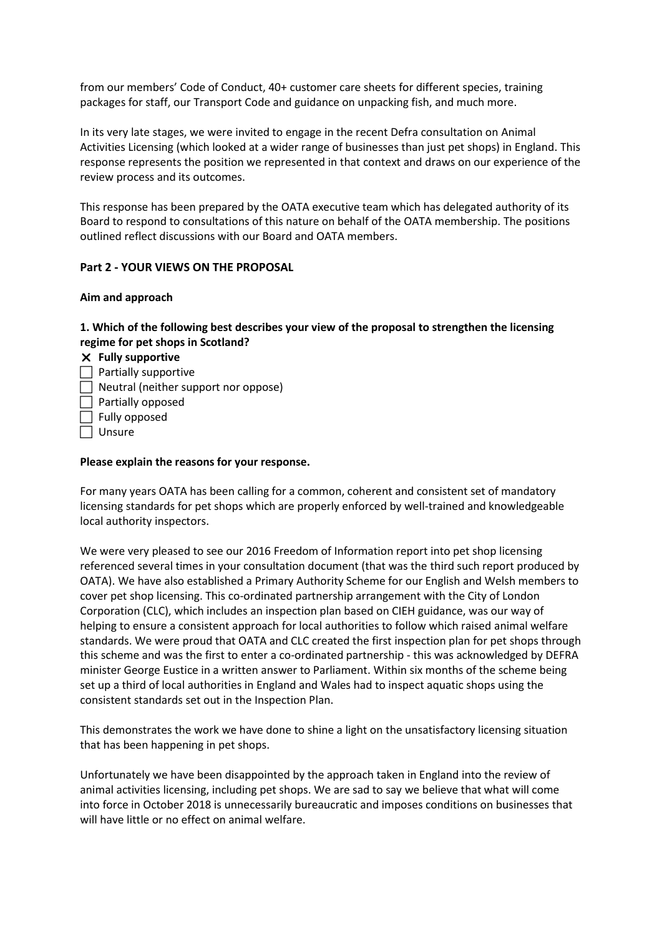from our members' Code of Conduct, 40+ customer care sheets for different species, training packages for staff, our Transport Code and guidance on unpacking fish, and much more.

In its very late stages, we were invited to engage in the recent Defra consultation on Animal Activities Licensing (which looked at a wider range of businesses than just pet shops) in England. This response represents the position we represented in that context and draws on our experience of the review process and its outcomes.

This response has been prepared by the OATA executive team which has delegated authority of its Board to respond to consultations of this nature on behalf of the OATA membership. The positions outlined reflect discussions with our Board and OATA members.

## **Part 2 - YOUR VIEWS ON THE PROPOSAL**

## **Aim and approach**

## **1. Which of the following best describes your view of the proposal to strengthen the licensing regime for pet shops in Scotland?**

### **Fully supportive**

- $\Box$  Partially supportive
- $\Box$  Neutral (neither support nor oppose)
- $\Box$  Partially opposed
- $\Box$  Fully opposed
- □ Unsure

### **Please explain the reasons for your response.**

For many years OATA has been calling for a common, coherent and consistent set of mandatory licensing standards for pet shops which are properly enforced by well-trained and knowledgeable local authority inspectors.

We were very pleased to see our 2016 Freedom of Information report into pet shop licensing referenced several times in your consultation document (that was the third such report produced by OATA). We have also established a Primary Authority Scheme for our English and Welsh members to cover pet shop licensing. This co-ordinated partnership arrangement with the City of London Corporation (CLC), which includes an inspection plan based on CIEH guidance, was our way of helping to ensure a consistent approach for local authorities to follow which raised animal welfare standards. We were proud that OATA and CLC created the first inspection plan for pet shops through this scheme and was the first to enter a co-ordinated partnership - this was acknowledged by DEFRA minister George Eustice in a written answer to Parliament. Within six months of the scheme being set up a third of local authorities in England and Wales had to inspect aquatic shops using the consistent standards set out in the Inspection Plan.

This demonstrates the work we have done to shine a light on the unsatisfactory licensing situation that has been happening in pet shops.

Unfortunately we have been disappointed by the approach taken in England into the review of animal activities licensing, including pet shops. We are sad to say we believe that what will come into force in October 2018 is unnecessarily bureaucratic and imposes conditions on businesses that will have little or no effect on animal welfare.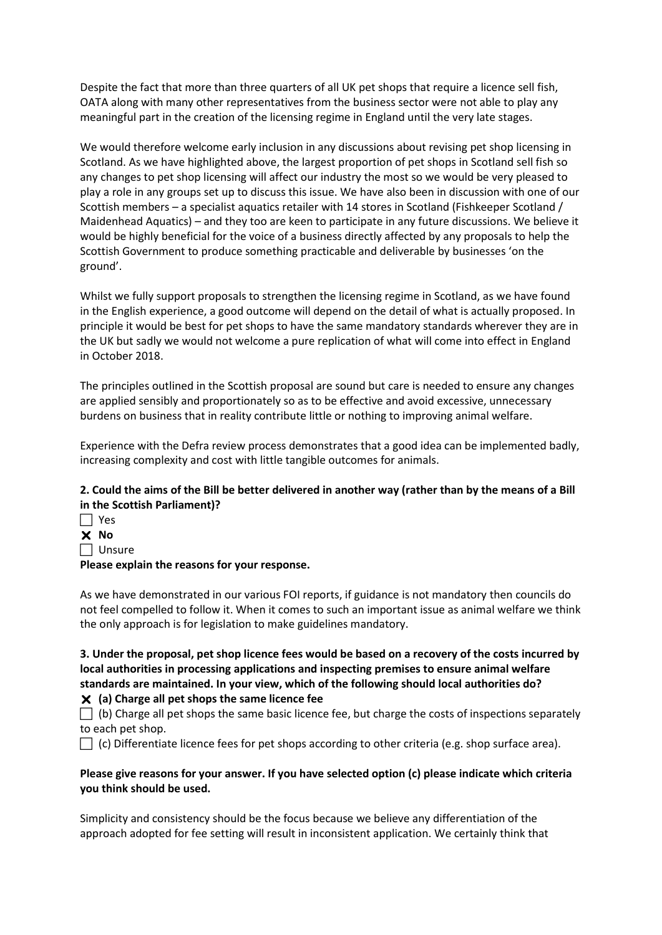Despite the fact that more than three quarters of all UK pet shops that require a licence sell fish, OATA along with many other representatives from the business sector were not able to play any meaningful part in the creation of the licensing regime in England until the very late stages.

We would therefore welcome early inclusion in any discussions about revising pet shop licensing in Scotland. As we have highlighted above, the largest proportion of pet shops in Scotland sell fish so any changes to pet shop licensing will affect our industry the most so we would be very pleased to play a role in any groups set up to discuss this issue. We have also been in discussion with one of our Scottish members – a specialist aquatics retailer with 14 stores in Scotland (Fishkeeper Scotland / Maidenhead Aquatics) – and they too are keen to participate in any future discussions. We believe it would be highly beneficial for the voice of a business directly affected by any proposals to help the Scottish Government to produce something practicable and deliverable by businesses 'on the ground'.

Whilst we fully support proposals to strengthen the licensing regime in Scotland, as we have found in the English experience, a good outcome will depend on the detail of what is actually proposed. In principle it would be best for pet shops to have the same mandatory standards wherever they are in the UK but sadly we would not welcome a pure replication of what will come into effect in England in October 2018.

The principles outlined in the Scottish proposal are sound but care is needed to ensure any changes are applied sensibly and proportionately so as to be effective and avoid excessive, unnecessary burdens on business that in reality contribute little or nothing to improving animal welfare.

Experience with the Defra review process demonstrates that a good idea can be implemented badly, increasing complexity and cost with little tangible outcomes for animals.

# **2. Could the aims of the Bill be better delivered in another way (rather than by the means of a Bill in the Scottish Parliament)?**

- $\Box$  Yes **No**
- $\Box$  Unsure

**Please explain the reasons for your response.** 

As we have demonstrated in our various FOI reports, if guidance is not mandatory then councils do not feel compelled to follow it. When it comes to such an important issue as animal welfare we think the only approach is for legislation to make guidelines mandatory.

**3. Under the proposal, pet shop licence fees would be based on a recovery of the costs incurred by local authorities in processing applications and inspecting premises to ensure animal welfare standards are maintained. In your view, which of the following should local authorities do? (a) Charge all pet shops the same licence fee**

 $\Box$  (b) Charge all pet shops the same basic licence fee, but charge the costs of inspections separately to each pet shop.

 $\Box$  (c) Differentiate licence fees for pet shops according to other criteria (e.g. shop surface area).

## **Please give reasons for your answer. If you have selected option (c) please indicate which criteria you think should be used.**

Simplicity and consistency should be the focus because we believe any differentiation of the approach adopted for fee setting will result in inconsistent application. We certainly think that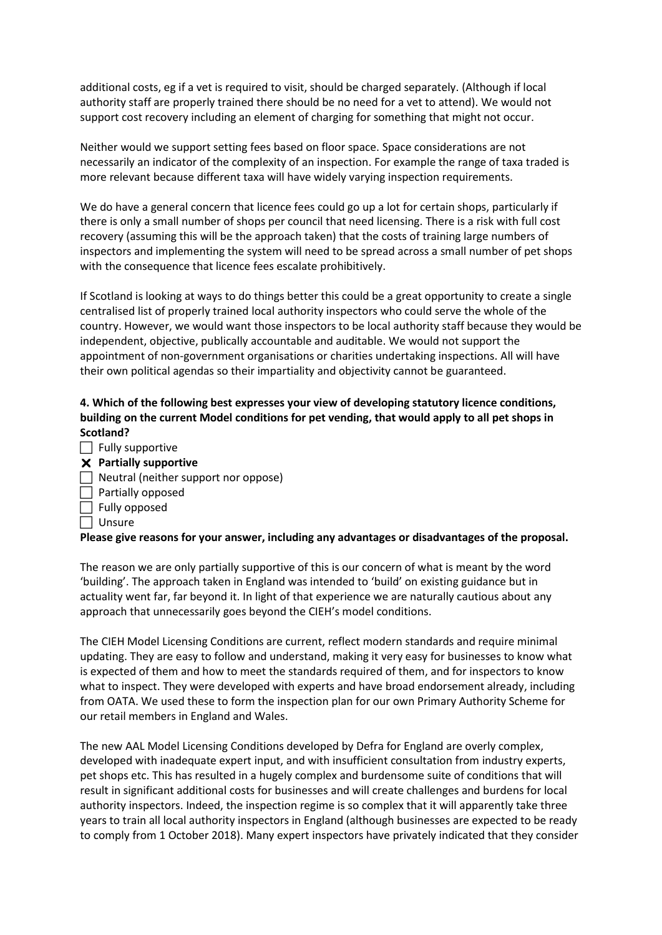additional costs, eg if a vet is required to visit, should be charged separately. (Although if local authority staff are properly trained there should be no need for a vet to attend). We would not support cost recovery including an element of charging for something that might not occur.

Neither would we support setting fees based on floor space. Space considerations are not necessarily an indicator of the complexity of an inspection. For example the range of taxa traded is more relevant because different taxa will have widely varying inspection requirements.

We do have a general concern that licence fees could go up a lot for certain shops, particularly if there is only a small number of shops per council that need licensing. There is a risk with full cost recovery (assuming this will be the approach taken) that the costs of training large numbers of inspectors and implementing the system will need to be spread across a small number of pet shops with the consequence that licence fees escalate prohibitively.

If Scotland is looking at ways to do things better this could be a great opportunity to create a single centralised list of properly trained local authority inspectors who could serve the whole of the country. However, we would want those inspectors to be local authority staff because they would be independent, objective, publically accountable and auditable. We would not support the appointment of non-government organisations or charities undertaking inspections. All will have their own political agendas so their impartiality and objectivity cannot be guaranteed.

# **4. Which of the following best expresses your view of developing statutory licence conditions, building on the current Model conditions for pet vending, that would apply to all pet shops in Scotland?**

- $\Box$  Fully supportive
- **Partially supportive**
- $\Box$  Neutral (neither support nor oppose)
- $\Box$  Partially opposed
- $\Box$  Fully opposed
- $\Box$  Unsure

## **Please give reasons for your answer, including any advantages or disadvantages of the proposal.**

The reason we are only partially supportive of this is our concern of what is meant by the word 'building'. The approach taken in England was intended to 'build' on existing guidance but in actuality went far, far beyond it. In light of that experience we are naturally cautious about any approach that unnecessarily goes beyond the CIEH's model conditions.

The CIEH Model Licensing Conditions are current, reflect modern standards and require minimal updating. They are easy to follow and understand, making it very easy for businesses to know what is expected of them and how to meet the standards required of them, and for inspectors to know what to inspect. They were developed with experts and have broad endorsement already, including from OATA. We used these to form the inspection plan for our own Primary Authority Scheme for our retail members in England and Wales.

The new AAL Model Licensing Conditions developed by Defra for England are overly complex, developed with inadequate expert input, and with insufficient consultation from industry experts, pet shops etc. This has resulted in a hugely complex and burdensome suite of conditions that will result in significant additional costs for businesses and will create challenges and burdens for local authority inspectors. Indeed, the inspection regime is so complex that it will apparently take three years to train all local authority inspectors in England (although businesses are expected to be ready to comply from 1 October 2018). Many expert inspectors have privately indicated that they consider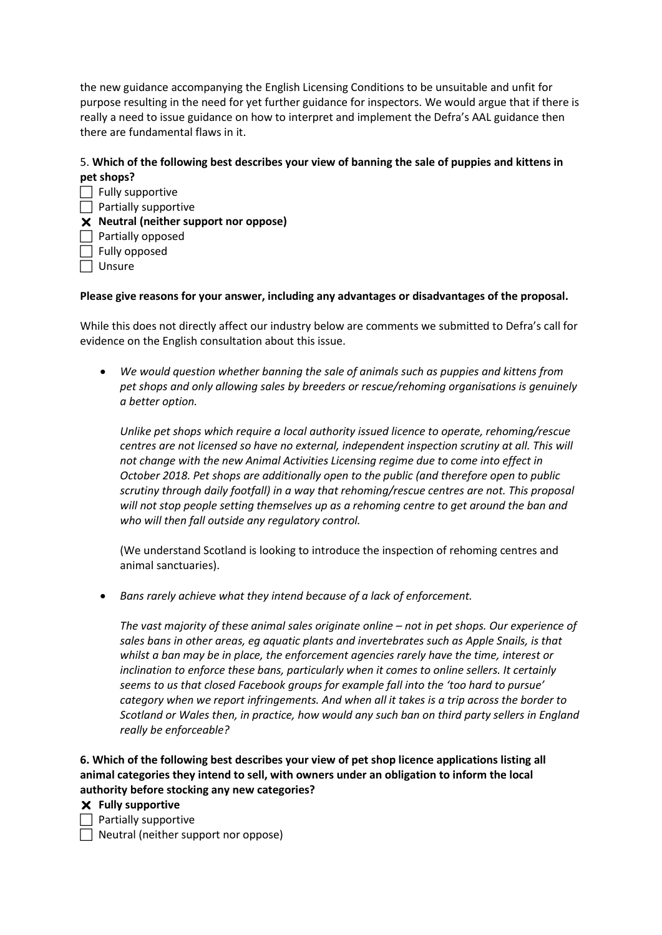the new guidance accompanying the English Licensing Conditions to be unsuitable and unfit for purpose resulting in the need for yet further guidance for inspectors. We would argue that if there is really a need to issue guidance on how to interpret and implement the Defra's AAL guidance then there are fundamental flaws in it.

# 5. **Which of the following best describes your view of banning the sale of puppies and kittens in pet shops?**

 $\Box$  Fully supportive  $\Box$  Partially supportive **Neutral (neither support nor oppose)**   $\Box$  Partially opposed  $\Box$  Fully opposed Unsure

## **Please give reasons for your answer, including any advantages or disadvantages of the proposal.**

While this does not directly affect our industry below are comments we submitted to Defra's call for evidence on the English consultation about this issue.

 *We would question whether banning the sale of animals such as puppies and kittens from pet shops and only allowing sales by breeders or rescue/rehoming organisations is genuinely a better option.* 

*Unlike pet shops which require a local authority issued licence to operate, rehoming/rescue centres are not licensed so have no external, independent inspection scrutiny at all. This will not change with the new Animal Activities Licensing regime due to come into effect in October 2018. Pet shops are additionally open to the public (and therefore open to public scrutiny through daily footfall) in a way that rehoming/rescue centres are not. This proposal will not stop people setting themselves up as a rehoming centre to get around the ban and who will then fall outside any regulatory control.*

(We understand Scotland is looking to introduce the inspection of rehoming centres and animal sanctuaries).

*Bans rarely achieve what they intend because of a lack of enforcement.* 

*The vast majority of these animal sales originate online – not in pet shops. Our experience of sales bans in other areas, eg aquatic plants and invertebrates such as Apple Snails, is that whilst a ban may be in place, the enforcement agencies rarely have the time, interest or inclination to enforce these bans, particularly when it comes to online sellers. It certainly seems to us that closed Facebook groups for example fall into the 'too hard to pursue' category when we report infringements. And when all it takes is a trip across the border to Scotland or Wales then, in practice, how would any such ban on third party sellers in England really be enforceable?*

**6. Which of the following best describes your view of pet shop licence applications listing all animal categories they intend to sell, with owners under an obligation to inform the local authority before stocking any new categories?** 

**Fully supportive** 

 $\Box$  Partially supportive

 $\Box$  Neutral (neither support nor oppose)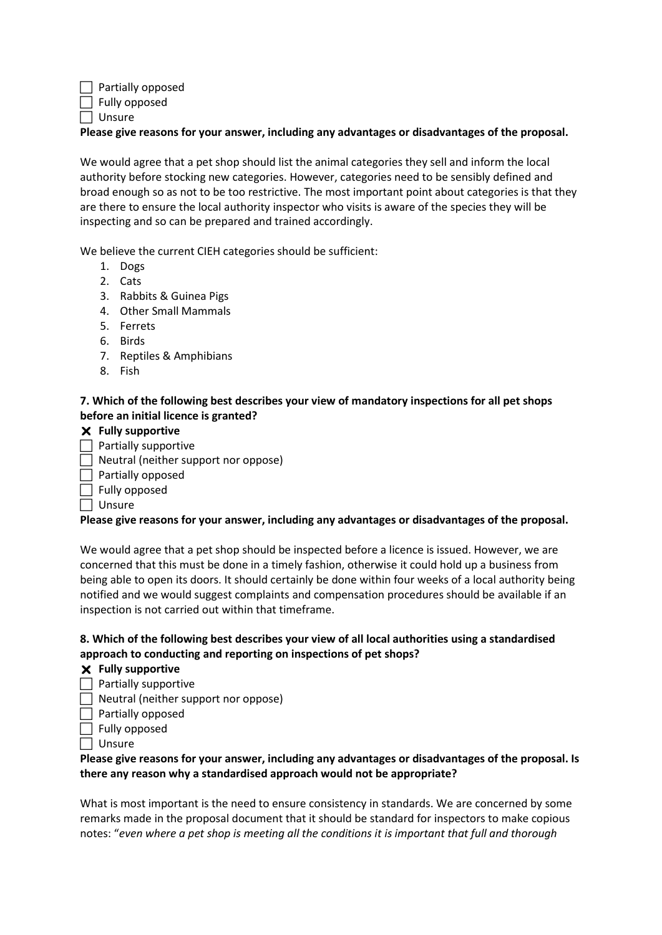$\Box$  Partially opposed

 $\Box$  Fully opposed Unsure

**Please give reasons for your answer, including any advantages or disadvantages of the proposal.** 

We would agree that a pet shop should list the animal categories they sell and inform the local authority before stocking new categories. However, categories need to be sensibly defined and broad enough so as not to be too restrictive. The most important point about categories is that they are there to ensure the local authority inspector who visits is aware of the species they will be inspecting and so can be prepared and trained accordingly.

We believe the current CIEH categories should be sufficient:

- 1. Dogs
- 2. Cats
- 3. Rabbits & Guinea Pigs
- 4. Other Small Mammals
- 5. Ferrets
- 6. Birds
- 7. Reptiles & Amphibians
- 8. Fish

## **7. Which of the following best describes your view of mandatory inspections for all pet shops before an initial licence is granted?**

- **Fully supportive**
- $\Box$  Partially supportive
- Neutral (neither support nor oppose)
- $\Box$  Partially opposed
- $\Box$  Fully opposed
- $\Box$  Unsure

## **Please give reasons for your answer, including any advantages or disadvantages of the proposal.**

We would agree that a pet shop should be inspected before a licence is issued. However, we are concerned that this must be done in a timely fashion, otherwise it could hold up a business from being able to open its doors. It should certainly be done within four weeks of a local authority being notified and we would suggest complaints and compensation procedures should be available if an inspection is not carried out within that timeframe.

## **8. Which of the following best describes your view of all local authorities using a standardised approach to conducting and reporting on inspections of pet shops?**

- **Fully supportive**
- $\Box$  Partially supportive
- $\Box$  Neutral (neither support nor oppose)
- $\Box$  Partially opposed
- $\Box$  Fully opposed
- $\Box$  Unsure

## **Please give reasons for your answer, including any advantages or disadvantages of the proposal. Is there any reason why a standardised approach would not be appropriate?**

What is most important is the need to ensure consistency in standards. We are concerned by some remarks made in the proposal document that it should be standard for inspectors to make copious notes: "*even where a pet shop is meeting all the conditions it is important that full and thorough*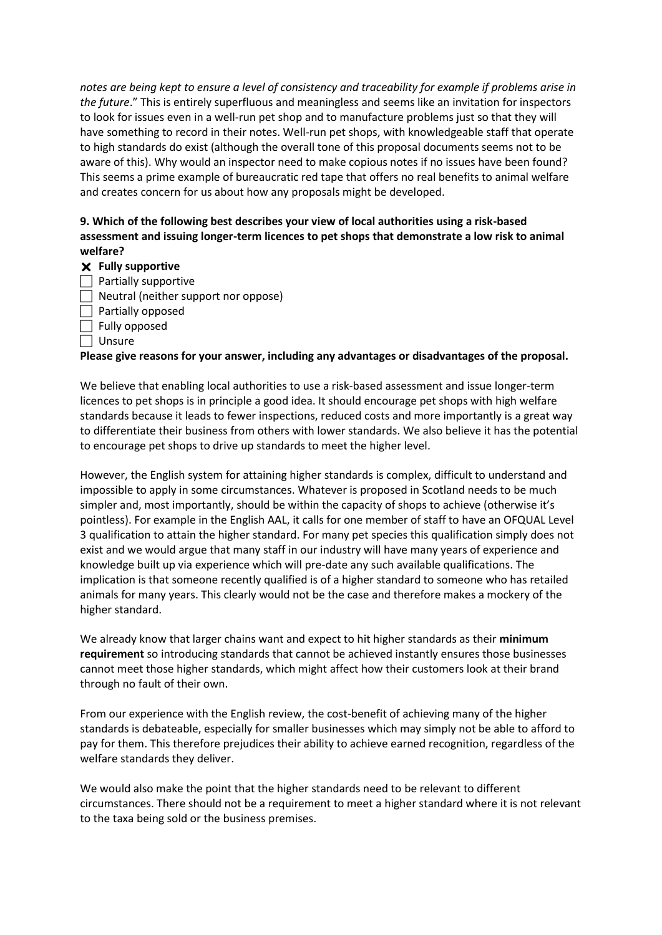*notes are being kept to ensure a level of consistency and traceability for example if problems arise in the future*." This is entirely superfluous and meaningless and seems like an invitation for inspectors to look for issues even in a well-run pet shop and to manufacture problems just so that they will have something to record in their notes. Well-run pet shops, with knowledgeable staff that operate to high standards do exist (although the overall tone of this proposal documents seems not to be aware of this). Why would an inspector need to make copious notes if no issues have been found? This seems a prime example of bureaucratic red tape that offers no real benefits to animal welfare and creates concern for us about how any proposals might be developed.

## **9. Which of the following best describes your view of local authorities using a risk-based assessment and issuing longer-term licences to pet shops that demonstrate a low risk to animal welfare?**

## **Fully supportive**

- $\Box$  Partially supportive
- $\Box$  Neutral (neither support nor oppose)
- $\Box$  Partially opposed
- $\Box$  Fully opposed
- $\Box$  Unsure

## **Please give reasons for your answer, including any advantages or disadvantages of the proposal.**

We believe that enabling local authorities to use a risk-based assessment and issue longer-term licences to pet shops is in principle a good idea. It should encourage pet shops with high welfare standards because it leads to fewer inspections, reduced costs and more importantly is a great way to differentiate their business from others with lower standards. We also believe it has the potential to encourage pet shops to drive up standards to meet the higher level.

However, the English system for attaining higher standards is complex, difficult to understand and impossible to apply in some circumstances. Whatever is proposed in Scotland needs to be much simpler and, most importantly, should be within the capacity of shops to achieve (otherwise it's pointless). For example in the English AAL, it calls for one member of staff to have an OFQUAL Level 3 qualification to attain the higher standard. For many pet species this qualification simply does not exist and we would argue that many staff in our industry will have many years of experience and knowledge built up via experience which will pre-date any such available qualifications. The implication is that someone recently qualified is of a higher standard to someone who has retailed animals for many years. This clearly would not be the case and therefore makes a mockery of the higher standard.

We already know that larger chains want and expect to hit higher standards as their **minimum requirement** so introducing standards that cannot be achieved instantly ensures those businesses cannot meet those higher standards, which might affect how their customers look at their brand through no fault of their own.

From our experience with the English review, the cost-benefit of achieving many of the higher standards is debateable, especially for smaller businesses which may simply not be able to afford to pay for them. This therefore prejudices their ability to achieve earned recognition, regardless of the welfare standards they deliver.

We would also make the point that the higher standards need to be relevant to different circumstances. There should not be a requirement to meet a higher standard where it is not relevant to the taxa being sold or the business premises.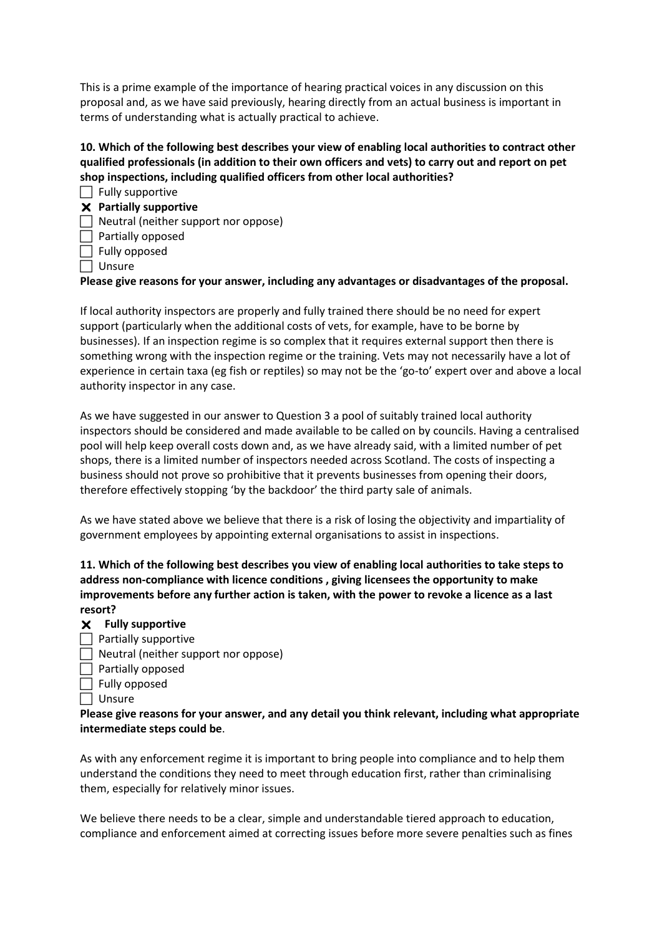This is a prime example of the importance of hearing practical voices in any discussion on this proposal and, as we have said previously, hearing directly from an actual business is important in terms of understanding what is actually practical to achieve.

# **10. Which of the following best describes your view of enabling local authorities to contract other qualified professionals (in addition to their own officers and vets) to carry out and report on pet shop inspections, including qualified officers from other local authorities?**

- $\Box$  Fully supportive
- **Partially supportive**
- $\Box$  Neutral (neither support nor oppose)
- $\Box$  Partially opposed
- $\Box$  Fully opposed
- Unsure

**Please give reasons for your answer, including any advantages or disadvantages of the proposal.** 

If local authority inspectors are properly and fully trained there should be no need for expert support (particularly when the additional costs of vets, for example, have to be borne by businesses). If an inspection regime is so complex that it requires external support then there is something wrong with the inspection regime or the training. Vets may not necessarily have a lot of experience in certain taxa (eg fish or reptiles) so may not be the 'go-to' expert over and above a local authority inspector in any case.

As we have suggested in our answer to Question 3 a pool of suitably trained local authority inspectors should be considered and made available to be called on by councils. Having a centralised pool will help keep overall costs down and, as we have already said, with a limited number of pet shops, there is a limited number of inspectors needed across Scotland. The costs of inspecting a business should not prove so prohibitive that it prevents businesses from opening their doors, therefore effectively stopping 'by the backdoor' the third party sale of animals.

As we have stated above we believe that there is a risk of losing the objectivity and impartiality of government employees by appointing external organisations to assist in inspections.

**11. Which of the following best describes you view of enabling local authorities to take steps to address non-compliance with licence conditions , giving licensees the opportunity to make improvements before any further action is taken, with the power to revoke a licence as a last resort?** 

- **Fully supportive**
- $\Box$  Partially supportive
- $\Box$  Neutral (neither support nor oppose)
- $\Box$  Partially opposed
- $\Box$  Fully opposed
- $\Box$  Unsure

**Please give reasons for your answer, and any detail you think relevant, including what appropriate intermediate steps could be**.

As with any enforcement regime it is important to bring people into compliance and to help them understand the conditions they need to meet through education first, rather than criminalising them, especially for relatively minor issues.

We believe there needs to be a clear, simple and understandable tiered approach to education, compliance and enforcement aimed at correcting issues before more severe penalties such as fines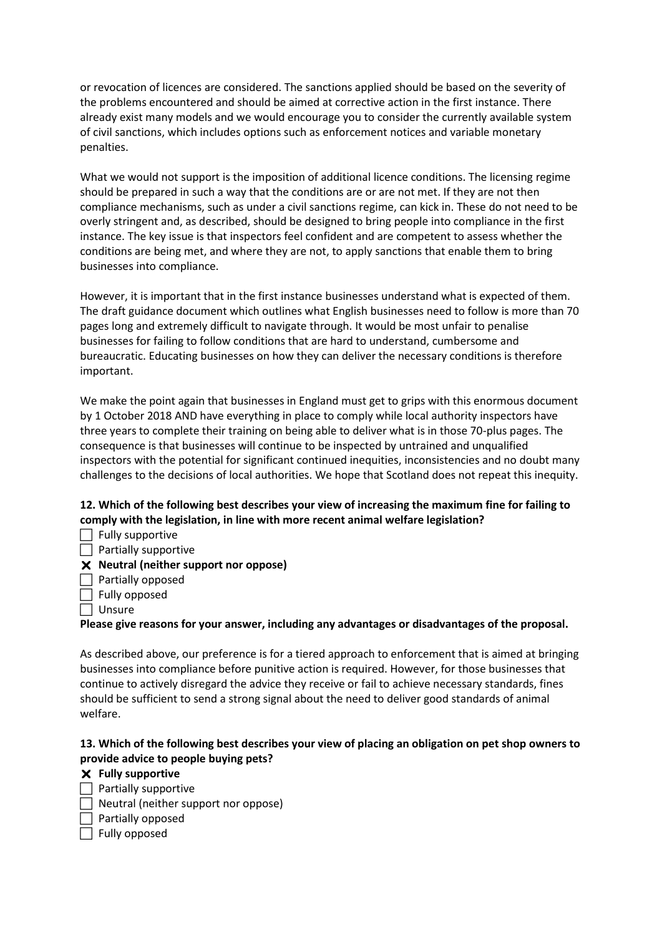or revocation of licences are considered. The sanctions applied should be based on the severity of the problems encountered and should be aimed at corrective action in the first instance. There already exist many models and we would encourage you to consider the currently available system of civil sanctions, which includes options such as enforcement notices and variable monetary penalties.

What we would not support is the imposition of additional licence conditions. The licensing regime should be prepared in such a way that the conditions are or are not met. If they are not then compliance mechanisms, such as under a civil sanctions regime, can kick in. These do not need to be overly stringent and, as described, should be designed to bring people into compliance in the first instance. The key issue is that inspectors feel confident and are competent to assess whether the conditions are being met, and where they are not, to apply sanctions that enable them to bring businesses into compliance.

However, it is important that in the first instance businesses understand what is expected of them. The draft guidance document which outlines what English businesses need to follow is more than 70 pages long and extremely difficult to navigate through. It would be most unfair to penalise businesses for failing to follow conditions that are hard to understand, cumbersome and bureaucratic. Educating businesses on how they can deliver the necessary conditions is therefore important.

We make the point again that businesses in England must get to grips with this enormous document by 1 October 2018 AND have everything in place to comply while local authority inspectors have three years to complete their training on being able to deliver what is in those 70-plus pages. The consequence is that businesses will continue to be inspected by untrained and unqualified inspectors with the potential for significant continued inequities, inconsistencies and no doubt many challenges to the decisions of local authorities. We hope that Scotland does not repeat this inequity.

# **12. Which of the following best describes your view of increasing the maximum fine for failing to comply with the legislation, in line with more recent animal welfare legislation?**

 $\Box$  Fully supportive

 $\Box$  Partially supportive

- **Neutral (neither support nor oppose)**
- $\Box$  Partially opposed
- $\Box$  Fully opposed
- | Unsure

**Please give reasons for your answer, including any advantages or disadvantages of the proposal.** 

As described above, our preference is for a tiered approach to enforcement that is aimed at bringing businesses into compliance before punitive action is required. However, for those businesses that continue to actively disregard the advice they receive or fail to achieve necessary standards, fines should be sufficient to send a strong signal about the need to deliver good standards of animal welfare.

## **13. Which of the following best describes your view of placing an obligation on pet shop owners to provide advice to people buying pets?**

## **Fully supportive**

- $\Box$  Partially supportive
	- Neutral (neither support nor oppose)
- $\Box$  Partially opposed
	- Fully opposed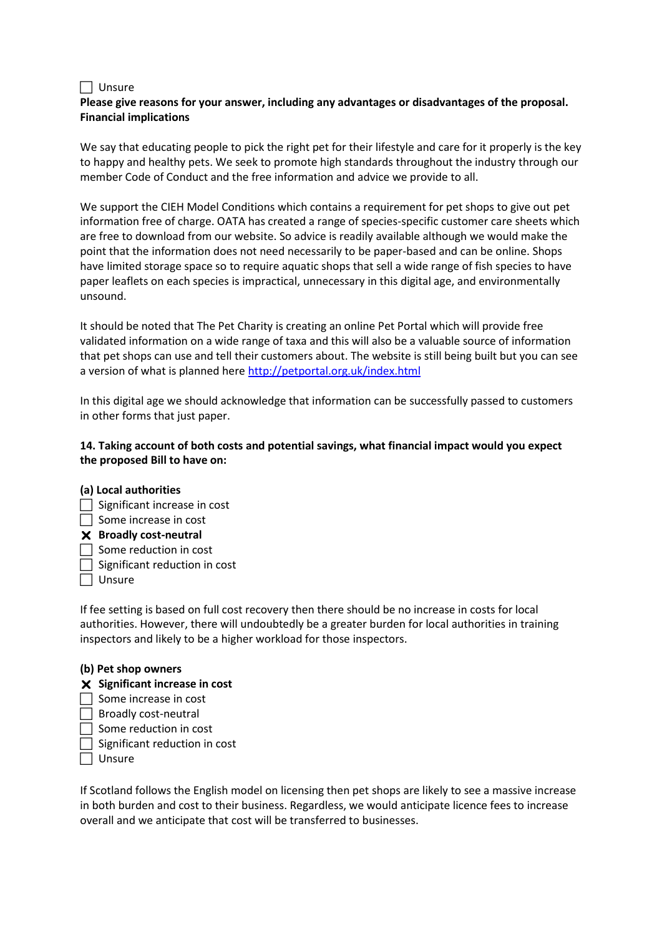#### $\Box$  Unsure

## **Please give reasons for your answer, including any advantages or disadvantages of the proposal. Financial implications**

We say that educating people to pick the right pet for their lifestyle and care for it properly is the key to happy and healthy pets. We seek to promote high standards throughout the industry through our member Code of Conduct and the free information and advice we provide to all.

We support the CIEH Model Conditions which contains a requirement for pet shops to give out pet information free of charge. OATA has created a range of species-specific customer care sheets which are free to download from our website. So advice is readily available although we would make the point that the information does not need necessarily to be paper-based and can be online. Shops have limited storage space so to require aquatic shops that sell a wide range of fish species to have paper leaflets on each species is impractical, unnecessary in this digital age, and environmentally unsound.

It should be noted that The Pet Charity is creating an online Pet Portal which will provide free validated information on a wide range of taxa and this will also be a valuable source of information that pet shops can use and tell their customers about. The website is still being built but you can see a version of what is planned here <http://petportal.org.uk/index.html>

In this digital age we should acknowledge that information can be successfully passed to customers in other forms that just paper.

## **14. Taking account of both costs and potential savings, what financial impact would you expect the proposed Bill to have on:**

## **(a) Local authorities**

- $\Box$  Significant increase in cost
- $\Box$  Some increase in cost

# **Broadly cost-neutral**

- $\Box$  Some reduction in cost
- $\Box$  Significant reduction in cost
- $\Box$  Unsure

If fee setting is based on full cost recovery then there should be no increase in costs for local authorities. However, there will undoubtedly be a greater burden for local authorities in training inspectors and likely to be a higher workload for those inspectors.

## **(b) Pet shop owners**

- **Significant increase in cost**
- $\Box$  Some increase in cost
- $\Box$  Broadly cost-neutral
- $\Box$  Some reduction in cost
- $\Box$  Significant reduction in cost
- $\Box$  Unsure

If Scotland follows the English model on licensing then pet shops are likely to see a massive increase in both burden and cost to their business. Regardless, we would anticipate licence fees to increase overall and we anticipate that cost will be transferred to businesses.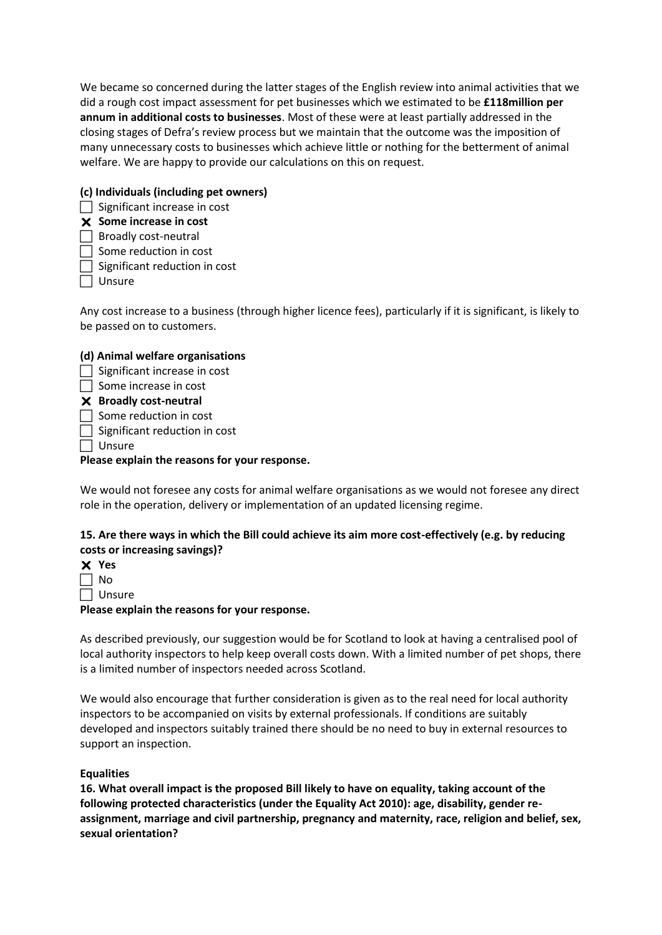We became so concerned during the latter stages of the English review into animal activities that we did a rough cost impact assessment for pet businesses which we estimated to be **£118million per annum in additional costs to businesses**. Most of these were at least partially addressed in the closing stages of Defra's review process but we maintain that the outcome was the imposition of many unnecessary costs to businesses which achieve little or nothing for the betterment of animal welfare. We are happy to provide our calculations on this on request.

## **(c) Individuals (including pet owners)**

 $\Box$  Significant increase in cost

## **Some increase in cost**

- $\Box$  Broadly cost-neutral
- $\Box$  Some reduction in cost
- $\Box$  Significant reduction in cost
- $\Box$  Unsure

Any cost increase to a business (through higher licence fees), particularly if it is significant, is likely to be passed on to customers.

# **(d) Animal welfare organisations**

- $\Box$  Significant increase in cost
- $\Box$  Some increase in cost
- **Broadly cost-neutral**
- $\Box$  Some reduction in cost
- $\Box$  Significant reduction in cost
- $\Box$  Unsure

## **Please explain the reasons for your response.**

We would not foresee any costs for animal welfare organisations as we would not foresee any direct role in the operation, delivery or implementation of an updated licensing regime.

## **15. Are there ways in which the Bill could achieve its aim more cost-effectively (e.g. by reducing costs or increasing savings)?**

| Yes |
|-----|
| N٥  |

 $\Box$  Unsure

## **Please explain the reasons for your response.**

As described previously, our suggestion would be for Scotland to look at having a centralised pool of local authority inspectors to help keep overall costs down. With a limited number of pet shops, there is a limited number of inspectors needed across Scotland.

We would also encourage that further consideration is given as to the real need for local authority inspectors to be accompanied on visits by external professionals. If conditions are suitably developed and inspectors suitably trained there should be no need to buy in external resources to support an inspection.

## **Equalities**

**16. What overall impact is the proposed Bill likely to have on equality, taking account of the following protected characteristics (under the Equality Act 2010): age, disability, gender reassignment, marriage and civil partnership, pregnancy and maternity, race, religion and belief, sex, sexual orientation?**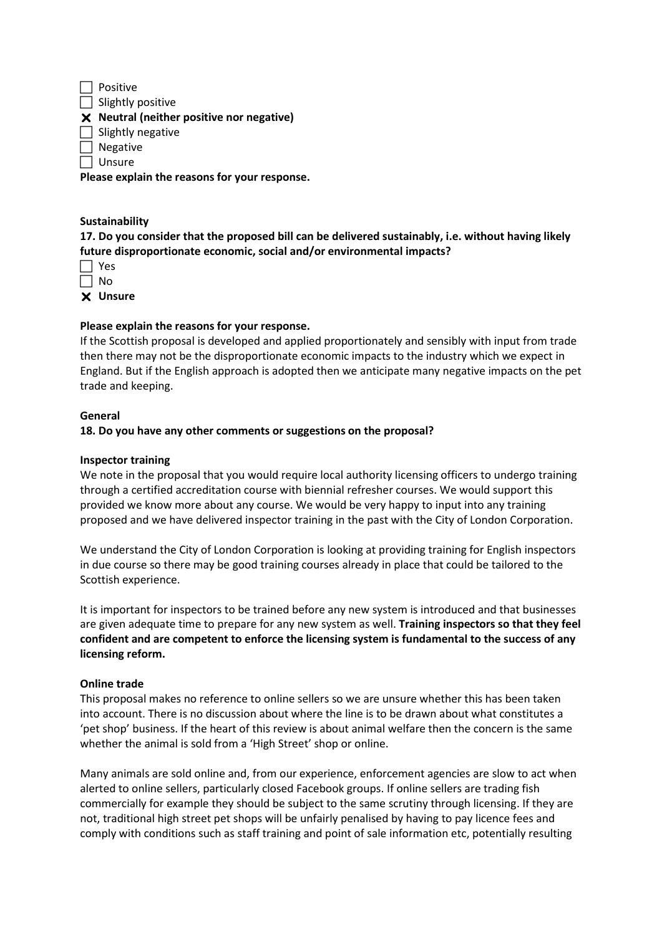$\Box$  Positive  $\Box$  Slightly positive **Neutral (neither positive nor negative)**   $\Box$  Slightly negative Negative  $\Box$  Unsure **Please explain the reasons for your response.** 

## **Sustainability**

**17. Do you consider that the proposed bill can be delivered sustainably, i.e. without having likely future disproportionate economic, social and/or environmental impacts?** 

| ς<br>۳  |
|---------|
| Ā.<br>n |
|         |

**Unsure** 

## **Please explain the reasons for your response.**

If the Scottish proposal is developed and applied proportionately and sensibly with input from trade then there may not be the disproportionate economic impacts to the industry which we expect in England. But if the English approach is adopted then we anticipate many negative impacts on the pet trade and keeping.

### **General**

### **18. Do you have any other comments or suggestions on the proposal?**

### **Inspector training**

We note in the proposal that you would require local authority licensing officers to undergo training through a certified accreditation course with biennial refresher courses. We would support this provided we know more about any course. We would be very happy to input into any training proposed and we have delivered inspector training in the past with the City of London Corporation.

We understand the City of London Corporation is looking at providing training for English inspectors in due course so there may be good training courses already in place that could be tailored to the Scottish experience.

It is important for inspectors to be trained before any new system is introduced and that businesses are given adequate time to prepare for any new system as well. **Training inspectors so that they feel confident and are competent to enforce the licensing system is fundamental to the success of any licensing reform.**

## **Online trade**

This proposal makes no reference to online sellers so we are unsure whether this has been taken into account. There is no discussion about where the line is to be drawn about what constitutes a 'pet shop' business. If the heart of this review is about animal welfare then the concern is the same whether the animal is sold from a 'High Street' shop or online.

Many animals are sold online and, from our experience, enforcement agencies are slow to act when alerted to online sellers, particularly closed Facebook groups. If online sellers are trading fish commercially for example they should be subject to the same scrutiny through licensing. If they are not, traditional high street pet shops will be unfairly penalised by having to pay licence fees and comply with conditions such as staff training and point of sale information etc, potentially resulting